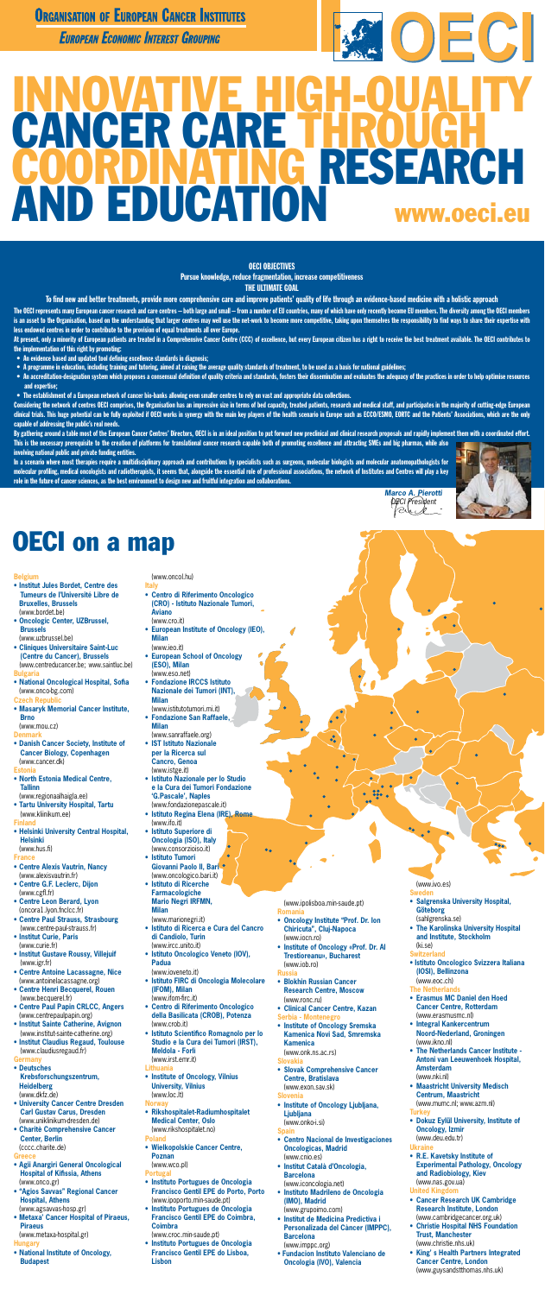### **ORGANISATION OF EUROPEAN CANCER INSTITUTES**

European Economic Interest Grouping

# $[OEC]$ INNOVATIVE HIGH-QUALITY CANCER CARE T ING RESEARCH **D EDUCATION** www.oeci.eu

#### OECI OBJECTIVES

Pursue knowledge, reduce fragmentation, increase competitiveness

THE ULTIMATE GOAL

To find new and better treatments, provide more comprehensive care and improve patients' quality of life through an evidence-based medicine with a holistic approach

The OECI represents many European cancer research and care centres – both large and small – from a number of EU countries, many of which have only recently become EU members. The diversity among the OECI members is an asset to the Organisation, based on the understanding that larger centres may well use the net-work to become more competitive, taking upon themselves the responsibility to find ways to share their expertise with less endowed centres in order to contribute to the provision of equal treatments all over Europe.

- An evidence based and updated tool defining excellence standards in diagnosis;
- • A programme in education, including training and tutoring, aimed at raising the average quality standards of treatment, to be used as a basis for national guidelines;
- • An accreditation-designation system which proposes a consensual definition of quality criteria and standards, fosters their dissemination and evaluates the adequacy of the practices in order to help optimise resources and expertise;
- • The establishment of a European network of cancer bio-banks allowing even smaller centres to rely on vast and appropriate data collections.

At present, only a minority of European patients are treated in a Comprehensive Cancer Centre (CCC) of excellence, but every European citizen has a right to receive the best treatment available. The OECI contributes to the implementation of this right by promoting:

Considering the network of centres OECI comprises, the Organisation has an impressive size in terms of bed capacity, treated patients, research and medical staff, and participates in the majority of cutting-edge European clinical trials. This huge potential can be fully exploited if OECI works in synergy with the main key players of the health scenario in Europe such as ECCO/ESMO, EORTC and the Patients' Associations, which are the only capable of addressing the public's real needs.

In a scenario where most therapies require a multidisciplinary approach and contributions by specialists such as surgeons, molecular biologists and molecular anatomopathologists for molecular profiling, medical oncologists and radiotherapists, it seems that, alongside the essential role of professional associations, the network of Institutes and Centres will play a key role in the future of cancer sciences, as the best environment to design new and fruitful integration and collaborations.



By gathering around a table most of the European Cancer Centres' Directors, OECI is in an ideal position to put forward new preclinical and clinical research proposals and rapidly implement them with a coordinated effort. This is the necessary prerequisite to the creation of platforms for translational cancer research capable both of promoting excellence and attracting SMEs and big pharmas, while also involving national public and private funding entities.

*Marco A. Pierotti OECI President*

 $\bullet$  (

 $\frac{1}{2}$ 

## **OECI on a map**

#### **Belgium**

- **• Institut Jules Bordet, Centre des Tumeurs de l'Université Libre de Bruxelles, Brussels** (www.bordet.be)
- **• Oncologic Center, UZBrussel, Brussels** (www.uzbrussel.be)
- **• Cliniques Universitaire Saint-Luc (Centre du Cancer), Brussels**  (www.centreducancer.be; www.saintluc.be) **Bulgaria**
- 
- **• National Oncological Hospital, Sofia** (www.onco-bg.com) **Czech Republ**
- **• Masaryk Memorial Cancer Institute, Brno**
- (www.mou.cz) **Denmark**
- **• Danish Cancer Society, Institute of**
- **Cancer Biology, Copenhagen** (www.cancer.dk) **Estonia**
- **• North Estonia Medical Centre, Tallinn**
- (www.regionaalhaigla.ee) **• Tartu University Hospital, Tartu** (www.kliinikum.ee)
- 

#### **Finland**

**• Helsinki University Central Hospital, Helsinki** (www.hus.fi)

#### **France**

- **• Centre Alexis Vautrin, Nancy** (www.alexisvautrin.fr)
- **• Centre G.F. Leclerc, Dijon** (www.cgfl.fr)
- **• Centre Leon Berard, Lyon** (oncora1.lyon.fnclcc.fr)
- **• Centre Paul Strauss, Strasbourg** (www.centre-paul-strauss.fr)
- **• Institut Curie, Paris** (www.curie.fr)
- **• Institut Gustave Roussy, Villejuif** (www.igr.fr)
- **• Centre Antoine Lacassagne, Nice** (www.antoinelacassagne.org)
- **• Centre Henri Becquerel, Rouen** (www.becquerel.fr)
- **• Centre Paul Papin CRLCC, Angers** (www.centrepaulpapin.org)
- **• Institut Sainte Catherine, Avignon** (www.institut-sainte-catherine.org)
- **• Institut Claudius Regaud, Toulouse**  (www.claudiusregaud.fr)

#### **Germany**

- **• Deutsches Krebsforschungszentrum, Heidelberg** (www.dkfz.de)
- **• University Cancer Centre Dresden Carl Gustav Carus, Dresden** (www.uniklinikum-dresden.de)
- **• Charitè Comprehensive Cancer Center, Berlin** (cccc.charite.de)

#### **Greece**

- **• Agii Anargiri General Oncological Hospital of Kifissia, Athens** (www.onco.gr)
- **• "Agios Savvas" Regional Cancer Hospital, Athens**

(www.agsavvas-hosp.gr)

**• Metaxa' Cancer Hospital of Piraeus, Piraeus**

(www.metaxa-hospital.gr)

#### **Hungary**

**• National Institute of Oncology, Budapest**

#### (www.ivo.es)

#### **Sweden**

- **• Salgrenska University Hospital, Göteborg** (sahlgrenska.se)
- **• The Karolinska University Hospital and Institute, Stockholm** (ki.se)

#### **Switzerland**

**• Istituto Oncologico Svizzera Italiana (IOSI), Bellinzona** (www.eoc.ch)

#### **The Netherlands**

- **• Erasmus MC Daniel den Hoed Cancer Centre, Rotterdam** (www.erasmusmc.nl)
- **• Integral Kankercentrum Noord-Nederland, Groningen** (www.ikno.nl)
- **• The Netherlands Cancer Institute - Antoni van Leeuwenhoek Hospital, Amsterdam** (www.nki.nl)
- **• Maastricht University Medisch Centrum, Maastricht** (www.mumc.nl; www.azm.nl)

#### **Turkey**

**• Dokuz Eylül University, Institute of Oncology, Izmir**

(www.deu.edu.tr)

#### **Ukraine**

- **• R.E. Kavetsky Institute of Experimental Pathology, Oncology and Radiobiology, Kiev** (www.nas.gov.ua) **United King**
- **• Cancer Research UK Cambridge Research Institute, London** (www.cambridgecancer.org.uk)
- **• Christie Hospital NHS Foundation Trust, Manchester** (www.christie.nhs.uk)
- **• King' s Health Partners Integrated Cancer Centre, London**  (www.guysandstthomas.nhs.uk)

#### (www.oncol.hu)

- **Italy • Centro di Riferimento Oncologico (CRO) - Istituto Nazionale Tumori, Aviano**
- (www.cro.it) **• European Institute of Oncology (IEO), Milan**
	- (www.ieo.it)
- **• European School of Oncology (ESO), Milan**
- (www.eso.net) **• Fondazione IRCCS Istituto**
- **Nazionale dei Tumori (INT), Milan** (www.istitutotumori.mi.it)
- **• Fondazione San Raffaele, Milan**
- (www.sanraffaele.org) **• IST Istituto Nazionale per la Ricerca sul**
- **Cancro, Genoa** (www.istge.it)
- **• Istituto Nazionale per lo Studio e la Cura dei Tumori Fondazione 'G.Pascale', Naples** (www.fondazionepascale.it)
- **• Istituto Regina Elena (IRE), Rome** (www.ifo.it) **• Istituto Superiore di Oncologia (ISO), Italy** (www.consorzioiso.it) **• Istituto Tumori**
- **Giovanni Paolo II, Bari** (www.oncologico.bari.it)
- **• Istituto di Ricerche Farmacologiche Mario Negri IRFMN,**

 **Milan** (www.marionegri.it)

- **• Istituto di Ricerca e Cura del Cancro di Candiolo, Turin** (www.ircc.unito.it)
- **• Istituto Oncologico Veneto (IOV), Padua**

(www.ioveneto.it)

- **• Istituto FIRC di Oncologia Molecolare (IFOM), Milan** (www.ifom-firc.it)
- **• Centro di Riferimento Oncologico della Basilicata (CROB), Potenza** (www.crob.it)
- **• Istituto Scientifico Romagnolo per lo Studio e la Cura dei Tumori (IRST), Meldola - Forlì**

(www.irst.emr.it)

**Lithuania • Institute of Oncology, Vilnius University, Vilnius** (www.loc.lt)

#### **Norway**

**• Rikshospitalet-Radiumhospitalet Medical Center, Oslo** (www.rikshospitalet.no)

#### **Poland**

**• Wielkopolskie Cancer Centre, Poznan**

(www.wco.pl)

#### **Portu**

- **• Instituto Portugues de Oncologia Francisco Gentil EPE do Porto, Porto** (www.ipoporto.min-saude.pt)
- **• Instituto Portugues de Oncologia Francisco Gentil EPE do Coimbra, Coimbra**
- (www.croc.min-saude.pt)
- **• Instituto Portugues de Oncologia Francisco Gentil EPE do Lisboa, Lisbon**

(www.ipolisboa.min-saude.pt) **Romania**

- **• Oncology Institute "Prof. Dr. Ion Chiricuta", Cluj-Napoca** (www.iocn.ro)
- **• Institute of Oncology «Prof. Dr. Al Trestioreanu», Bucharest**  (www.iob.ro)

**Russia**

- **• Blokhin Russian Cancer Research Centre, Moscow** (www.ronc.ru)
- **• Clinical Cancer Centre, Kazan Serbia - Montenegro**
- **• Institute of Oncology Sremska Kamenica Novi Sad, Smremska Kamenica**

(www.onk.ns.ac.rs)

#### **Slovakia**

**• Slovak Comprehensive Cancer Centre, Bratislava**

(www.exon.sav.sk)

- **Slovenia**
- **• Institute of Oncology Ljubljana, Ljubljana** (www.onko-i.si)

**Spain**

- **• Centro Nacional de Investigaciones Oncologicas, Madrid** (www.cnio.es)
- **• Institut Català d'Oncologia, Barcelona**

(www.iconcologia.net)

**• Instituto Madrileno de Oncologia (IMO), Madrid**

(www.grupoimo.com)

- **• Institut de Medicina Predictiva i Personalizada del Càncer (IMPPC), Barcelona** (www.imppc.org)
- **• Fundacion Instituto Valenciano de Oncologia (IVO), Valencia**